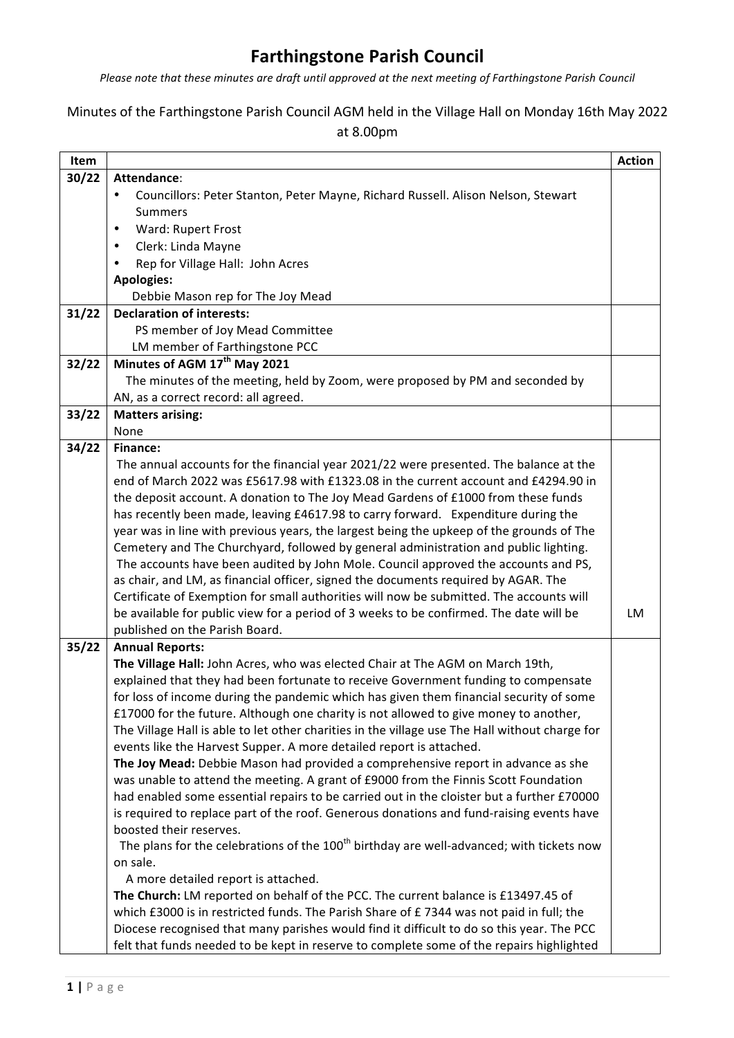## **Farthingstone Parish Council**

*Please note that these minutes are draft until approved at the next meeting of Farthingstone Parish Council* 

## Minutes of the Farthingstone Parish Council AGM held in the Village Hall on Monday 16th May 2022

|  |  |  | at 8.00pm |
|--|--|--|-----------|
|--|--|--|-----------|

| Item  |                                                                                                                                                                       | <b>Action</b> |  |  |
|-------|-----------------------------------------------------------------------------------------------------------------------------------------------------------------------|---------------|--|--|
| 30/22 | Attendance:                                                                                                                                                           |               |  |  |
|       | Councillors: Peter Stanton, Peter Mayne, Richard Russell. Alison Nelson, Stewart<br>٠                                                                                 |               |  |  |
|       | Summers                                                                                                                                                               |               |  |  |
|       | Ward: Rupert Frost<br>$\bullet$                                                                                                                                       |               |  |  |
|       | Clerk: Linda Mayne<br>٠                                                                                                                                               |               |  |  |
|       | Rep for Village Hall: John Acres                                                                                                                                      |               |  |  |
|       | <b>Apologies:</b>                                                                                                                                                     |               |  |  |
|       | Debbie Mason rep for The Joy Mead                                                                                                                                     |               |  |  |
| 31/22 | <b>Declaration of interests:</b>                                                                                                                                      |               |  |  |
|       | PS member of Joy Mead Committee                                                                                                                                       |               |  |  |
|       | LM member of Farthingstone PCC                                                                                                                                        |               |  |  |
| 32/22 | Minutes of AGM 17 <sup>th</sup> May 2021                                                                                                                              |               |  |  |
|       | The minutes of the meeting, held by Zoom, were proposed by PM and seconded by                                                                                         |               |  |  |
|       | AN, as a correct record: all agreed.                                                                                                                                  |               |  |  |
| 33/22 | <b>Matters arising:</b>                                                                                                                                               |               |  |  |
|       | None                                                                                                                                                                  |               |  |  |
| 34/22 | Finance:                                                                                                                                                              |               |  |  |
|       | The annual accounts for the financial year 2021/22 were presented. The balance at the                                                                                 |               |  |  |
|       | end of March 2022 was £5617.98 with £1323.08 in the current account and £4294.90 in                                                                                   |               |  |  |
|       | the deposit account. A donation to The Joy Mead Gardens of £1000 from these funds                                                                                     |               |  |  |
|       | has recently been made, leaving £4617.98 to carry forward. Expenditure during the                                                                                     |               |  |  |
|       | year was in line with previous years, the largest being the upkeep of the grounds of The                                                                              |               |  |  |
|       | Cemetery and The Churchyard, followed by general administration and public lighting.                                                                                  |               |  |  |
|       | The accounts have been audited by John Mole. Council approved the accounts and PS,                                                                                    |               |  |  |
|       | as chair, and LM, as financial officer, signed the documents required by AGAR. The                                                                                    |               |  |  |
|       | Certificate of Exemption for small authorities will now be submitted. The accounts will                                                                               |               |  |  |
|       | be available for public view for a period of 3 weeks to be confirmed. The date will be                                                                                | LM            |  |  |
|       | published on the Parish Board.                                                                                                                                        |               |  |  |
| 35/22 | <b>Annual Reports:</b>                                                                                                                                                |               |  |  |
|       | The Village Hall: John Acres, who was elected Chair at The AGM on March 19th,                                                                                         |               |  |  |
|       | explained that they had been fortunate to receive Government funding to compensate                                                                                    |               |  |  |
|       | for loss of income during the pandemic which has given them financial security of some                                                                                |               |  |  |
|       | £17000 for the future. Although one charity is not allowed to give money to another,                                                                                  |               |  |  |
|       | The Village Hall is able to let other charities in the village use The Hall without charge for<br>events like the Harvest Supper. A more detailed report is attached. |               |  |  |
|       | The Joy Mead: Debbie Mason had provided a comprehensive report in advance as she                                                                                      |               |  |  |
|       | was unable to attend the meeting. A grant of £9000 from the Finnis Scott Foundation                                                                                   |               |  |  |
|       | had enabled some essential repairs to be carried out in the cloister but a further £70000                                                                             |               |  |  |
|       | is required to replace part of the roof. Generous donations and fund-raising events have                                                                              |               |  |  |
|       | boosted their reserves.                                                                                                                                               |               |  |  |
|       | The plans for the celebrations of the 100 <sup>th</sup> birthday are well-advanced; with tickets now                                                                  |               |  |  |
|       | on sale.                                                                                                                                                              |               |  |  |
|       | A more detailed report is attached.                                                                                                                                   |               |  |  |
|       | The Church: LM reported on behalf of the PCC. The current balance is £13497.45 of                                                                                     |               |  |  |
|       | which £3000 is in restricted funds. The Parish Share of $E$ 7344 was not paid in full; the                                                                            |               |  |  |
|       | Diocese recognised that many parishes would find it difficult to do so this year. The PCC                                                                             |               |  |  |
|       | felt that funds needed to be kept in reserve to complete some of the repairs highlighted                                                                              |               |  |  |